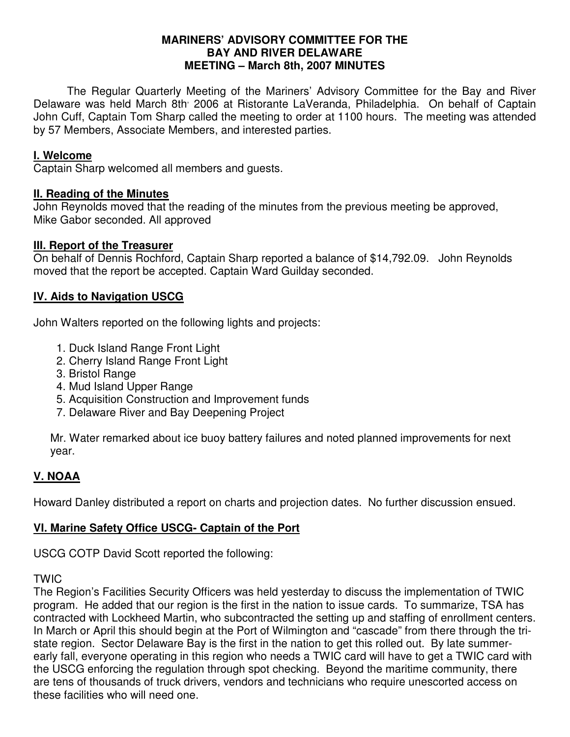#### **MARINERS' ADVISORY COMMITTEE FOR THE BAY AND RIVER DELAWARE MEETING – March 8th, 2007 MINUTES**

 The Regular Quarterly Meeting of the Mariners' Advisory Committee for the Bay and River Delaware was held March 8th 2006 at Ristorante LaVeranda, Philadelphia. On behalf of Captain John Cuff, Captain Tom Sharp called the meeting to order at 1100 hours. The meeting was attended by 57 Members, Associate Members, and interested parties.

## **I. Welcome**

Captain Sharp welcomed all members and guests.

#### **II. Reading of the Minutes**

John Reynolds moved that the reading of the minutes from the previous meeting be approved, Mike Gabor seconded. All approved

### **III. Report of the Treasurer**

On behalf of Dennis Rochford, Captain Sharp reported a balance of \$14,792.09. John Reynolds moved that the report be accepted. Captain Ward Guilday seconded.

### **IV. Aids to Navigation USCG**

John Walters reported on the following lights and projects:

- 1. Duck Island Range Front Light
- 2. Cherry Island Range Front Light
- 3. Bristol Range
- 4. Mud Island Upper Range
- 5. Acquisition Construction and Improvement funds
- 7. Delaware River and Bay Deepening Project

Mr. Water remarked about ice buoy battery failures and noted planned improvements for next year.

## **V. NOAA**

Howard Danley distributed a report on charts and projection dates. No further discussion ensued.

## **VI. Marine Safety Office USCG- Captain of the Port**

USCG COTP David Scott reported the following:

#### TWIC

The Region's Facilities Security Officers was held yesterday to discuss the implementation of TWIC program. He added that our region is the first in the nation to issue cards. To summarize, TSA has contracted with Lockheed Martin, who subcontracted the setting up and staffing of enrollment centers. In March or April this should begin at the Port of Wilmington and "cascade" from there through the tristate region. Sector Delaware Bay is the first in the nation to get this rolled out. By late summerearly fall, everyone operating in this region who needs a TWIC card will have to get a TWIC card with the USCG enforcing the regulation through spot checking. Beyond the maritime community, there are tens of thousands of truck drivers, vendors and technicians who require unescorted access on these facilities who will need one.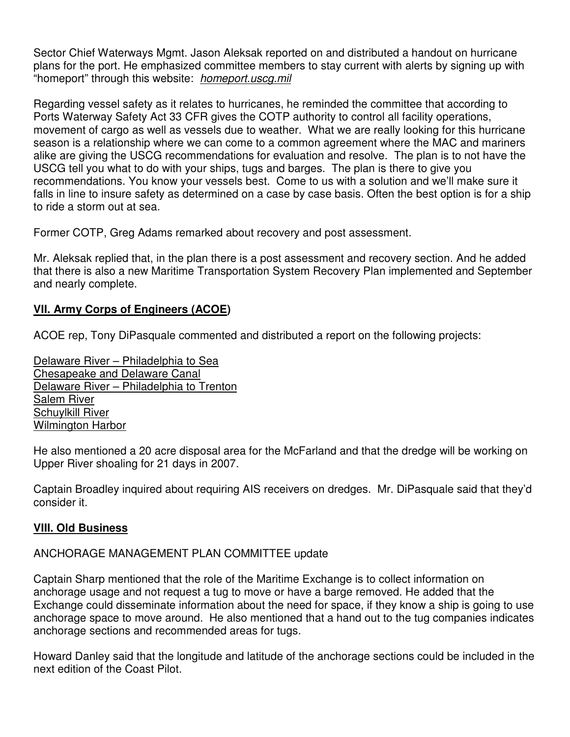Sector Chief Waterways Mgmt. Jason Aleksak reported on and distributed a handout on hurricane plans for the port. He emphasized committee members to stay current with alerts by signing up with "homeport" through this website: homeport.uscg.mil

Regarding vessel safety as it relates to hurricanes, he reminded the committee that according to Ports Waterway Safety Act 33 CFR gives the COTP authority to control all facility operations, movement of cargo as well as vessels due to weather. What we are really looking for this hurricane season is a relationship where we can come to a common agreement where the MAC and mariners alike are giving the USCG recommendations for evaluation and resolve. The plan is to not have the USCG tell you what to do with your ships, tugs and barges. The plan is there to give you recommendations. You know your vessels best. Come to us with a solution and we'll make sure it falls in line to insure safety as determined on a case by case basis. Often the best option is for a ship to ride a storm out at sea.

Former COTP, Greg Adams remarked about recovery and post assessment.

Mr. Aleksak replied that, in the plan there is a post assessment and recovery section. And he added that there is also a new Maritime Transportation System Recovery Plan implemented and September and nearly complete.

## **VII. Army Corps of Engineers (ACOE)**

ACOE rep, Tony DiPasquale commented and distributed a report on the following projects:

Delaware River – Philadelphia to Sea Chesapeake and Delaware Canal Delaware River – Philadelphia to Trenton Salem River Schuylkill River Wilmington Harbor

He also mentioned a 20 acre disposal area for the McFarland and that the dredge will be working on Upper River shoaling for 21 days in 2007.

Captain Broadley inquired about requiring AIS receivers on dredges. Mr. DiPasquale said that they'd consider it.

## **VIII. Old Business**

#### ANCHORAGE MANAGEMENT PLAN COMMITTEE update

Captain Sharp mentioned that the role of the Maritime Exchange is to collect information on anchorage usage and not request a tug to move or have a barge removed. He added that the Exchange could disseminate information about the need for space, if they know a ship is going to use anchorage space to move around. He also mentioned that a hand out to the tug companies indicates anchorage sections and recommended areas for tugs.

Howard Danley said that the longitude and latitude of the anchorage sections could be included in the next edition of the Coast Pilot.